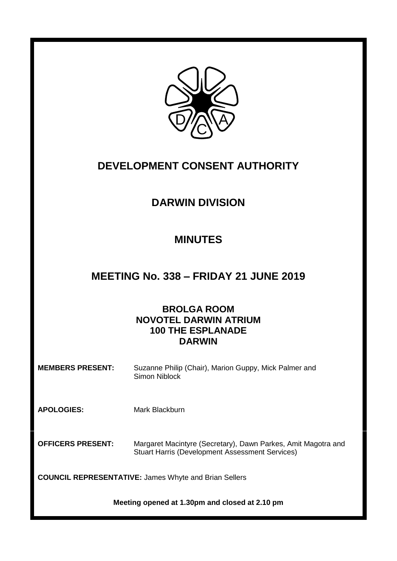

# **DEVELOPMENT CONSENT AUTHORITY**

# **DARWIN DIVISION**

# **MINUTES**

# **MEETING No. 338 – FRIDAY 21 JUNE 2019**

## **BROLGA ROOM NOVOTEL DARWIN ATRIUM 100 THE ESPLANADE DARWIN**

### **MEMBERS PRESENT:** Suzanne Philip (Chair), Marion Guppy, Mick Palmer and Simon Niblock

**APOLOGIES:** Mark Blackburn

**OFFICERS PRESENT:** Margaret Macintyre (Secretary), Dawn Parkes, Amit Magotra and Stuart Harris (Development Assessment Services)

**COUNCIL REPRESENTATIVE:** James Whyte and Brian Sellers

**Meeting opened at 1.30pm and closed at 2.10 pm**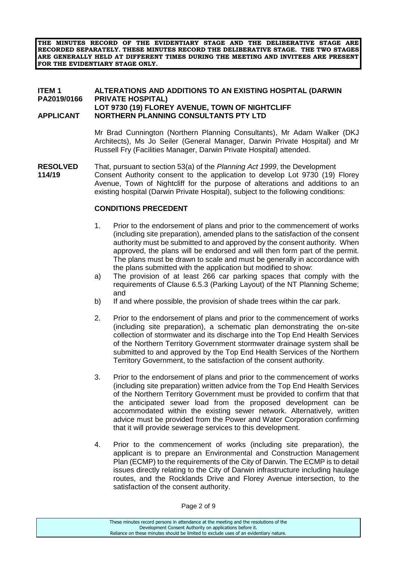**THE MINUTES RECORD OF THE EVIDENTIARY STAGE AND THE DELIBERATIVE STAGE ARE RECORDED SEPARATELY. THESE MINUTES RECORD THE DELIBERATIVE STAGE. THE TWO STAGES ARE GENERALLY HELD AT DIFFERENT TIMES DURING THE MEETING AND INVITEES ARE PRESENT FOR THE EVIDENTIARY STAGE ONLY.**

#### **ITEM 1 ALTERATIONS AND ADDITIONS TO AN EXISTING HOSPITAL (DARWIN PA2019/0166 PRIVATE HOSPITAL) LOT 9730 (19) FLOREY AVENUE, TOWN OF NIGHTCLIFF APPLICANT NORTHERN PLANNING CONSULTANTS PTY LTD**

Mr Brad Cunnington (Northern Planning Consultants), Mr Adam Walker (DKJ Architects), Ms Jo Seiler (General Manager, Darwin Private Hospital) and Mr Russell Fry (Facilities Manager, Darwin Private Hospital) attended.

**RESOLVED** That, pursuant to section 53(a) of the *Planning Act 1999*, the Development **114/19** Consent Authority consent to the application to develop Lot 9730 (19) Florey Avenue, Town of Nightcliff for the purpose of alterations and additions to an existing hospital (Darwin Private Hospital), subject to the following conditions:

#### **CONDITIONS PRECEDENT**

- 1. Prior to the endorsement of plans and prior to the commencement of works (including site preparation), amended plans to the satisfaction of the consent authority must be submitted to and approved by the consent authority. When approved, the plans will be endorsed and will then form part of the permit. The plans must be drawn to scale and must be generally in accordance with the plans submitted with the application but modified to show:
- a) The provision of at least 266 car parking spaces that comply with the requirements of Clause 6.5.3 (Parking Layout) of the NT Planning Scheme; and
- b) If and where possible, the provision of shade trees within the car park.
- 2. Prior to the endorsement of plans and prior to the commencement of works (including site preparation), a schematic plan demonstrating the on-site collection of stormwater and its discharge into the Top End Health Services of the Northern Territory Government stormwater drainage system shall be submitted to and approved by the Top End Health Services of the Northern Territory Government, to the satisfaction of the consent authority.
- 3. Prior to the endorsement of plans and prior to the commencement of works (including site preparation) written advice from the Top End Health Services of the Northern Territory Government must be provided to confirm that that the anticipated sewer load from the proposed development can be accommodated within the existing sewer network. Alternatively, written advice must be provided from the Power and Water Corporation confirming that it will provide sewerage services to this development.
- 4. Prior to the commencement of works (including site preparation), the applicant is to prepare an Environmental and Construction Management Plan (ECMP) to the requirements of the City of Darwin. The ECMP is to detail issues directly relating to the City of Darwin infrastructure including haulage routes, and the Rocklands Drive and Florey Avenue intersection, to the satisfaction of the consent authority.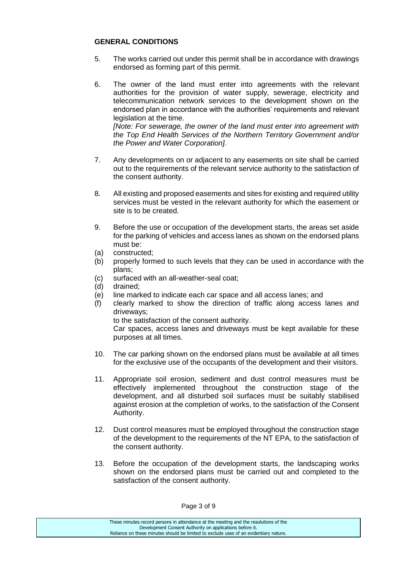### **GENERAL CONDITIONS**

- 5. The works carried out under this permit shall be in accordance with drawings endorsed as forming part of this permit.
- 6. The owner of the land must enter into agreements with the relevant authorities for the provision of water supply, sewerage, electricity and telecommunication network services to the development shown on the endorsed plan in accordance with the authorities' requirements and relevant legislation at the time.

*[Note: For sewerage, the owner of the land must enter into agreement with the Top End Health Services of the Northern Territory Government and/or the Power and Water Corporation].*

- 7. Any developments on or adjacent to any easements on site shall be carried out to the requirements of the relevant service authority to the satisfaction of the consent authority.
- 8. All existing and proposed easements and sites for existing and required utility services must be vested in the relevant authority for which the easement or site is to be created.
- 9. Before the use or occupation of the development starts, the areas set aside for the parking of vehicles and access lanes as shown on the endorsed plans must be:
- (a) constructed;
- (b) properly formed to such levels that they can be used in accordance with the plans;
- (c) surfaced with an all-weather-seal coat;
- (d) drained;
- (e) line marked to indicate each car space and all access lanes; and
- (f) clearly marked to show the direction of traffic along access lanes and driveways;

to the satisfaction of the consent authority.

Car spaces, access lanes and driveways must be kept available for these purposes at all times.

- 10. The car parking shown on the endorsed plans must be available at all times for the exclusive use of the occupants of the development and their visitors.
- 11. Appropriate soil erosion, sediment and dust control measures must be effectively implemented throughout the construction stage of the development, and all disturbed soil surfaces must be suitably stabilised against erosion at the completion of works, to the satisfaction of the Consent Authority.
- 12. Dust control measures must be employed throughout the construction stage of the development to the requirements of the NT EPA, to the satisfaction of the consent authority.
- 13. Before the occupation of the development starts, the landscaping works shown on the endorsed plans must be carried out and completed to the satisfaction of the consent authority.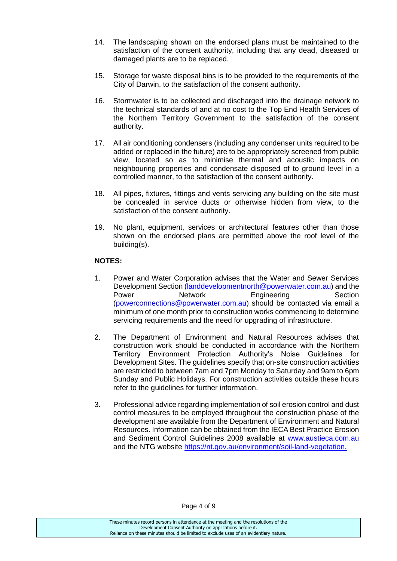- 14. The landscaping shown on the endorsed plans must be maintained to the satisfaction of the consent authority, including that any dead, diseased or damaged plants are to be replaced.
- 15. Storage for waste disposal bins is to be provided to the requirements of the City of Darwin, to the satisfaction of the consent authority.
- 16. Stormwater is to be collected and discharged into the drainage network to the technical standards of and at no cost to the Top End Health Services of the Northern Territory Government to the satisfaction of the consent authority.
- 17. All air conditioning condensers (including any condenser units required to be added or replaced in the future) are to be appropriately screened from public view, located so as to minimise thermal and acoustic impacts on neighbouring properties and condensate disposed of to ground level in a controlled manner, to the satisfaction of the consent authority.
- 18. All pipes, fixtures, fittings and vents servicing any building on the site must be concealed in service ducts or otherwise hidden from view, to the satisfaction of the consent authority.
- 19. No plant, equipment, services or architectural features other than those shown on the endorsed plans are permitted above the roof level of the building(s).

### **NOTES:**

- 1. Power and Water Corporation advises that the Water and Sewer Services Development Section [\(landdevelopmentnorth@powerwater.com.au\)](mailto:landdevelopmentnorth@powerwater.com.au) and the Power Network Engineering Section [\(powerconnections@powerwater.com.au\)](mailto:powerconnections@powerwater.com.au) should be contacted via email a minimum of one month prior to construction works commencing to determine servicing requirements and the need for upgrading of infrastructure.
- 2. The Department of Environment and Natural Resources advises that construction work should be conducted in accordance with the Northern Territory Environment Protection Authority's Noise Guidelines for Development Sites. The guidelines specify that on-site construction activities are restricted to between 7am and 7pm Monday to Saturday and 9am to 6pm Sunday and Public Holidays. For construction activities outside these hours refer to the guidelines for further information.
- 3. Professional advice regarding implementation of soil erosion control and dust control measures to be employed throughout the construction phase of the development are available from the Department of Environment and Natural Resources. Information can be obtained from the IECA Best Practice Erosion and Sediment Control Guidelines 2008 available at [www.austieca.com.au](http://www.austieca.com.au/) and the NTG website [https://nt.gov.au/environment/soil-land-vegetation.](https://nt.gov.au/environment/soil-land-vegetation)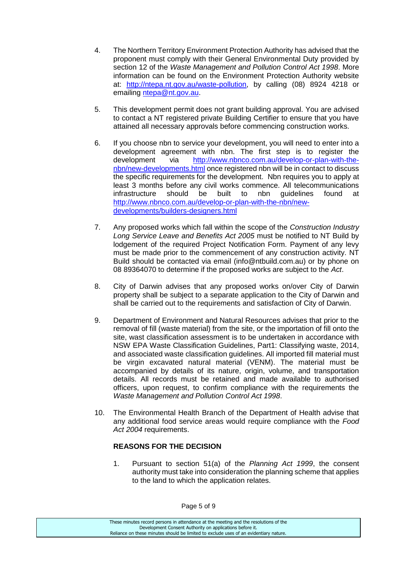- 4. The Northern Territory Environment Protection Authority has advised that the proponent must comply with their General Environmental Duty provided by section 12 of the *Waste Management and Pollution Control Act 1998*. More information can be found on the Environment Protection Authority website at: [http://ntepa.nt.gov.au/waste-pollution,](http://ntepa.nt.gov.au/waste-pollution) by calling (08) 8924 4218 or emailing [ntepa@nt.gov.au.](mailto:ntepa@nt.gov.au)
- 5. This development permit does not grant building approval. You are advised to contact a NT registered private Building Certifier to ensure that you have attained all necessary approvals before commencing construction works.
- 6. If you choose nbn to service your development, you will need to enter into a development agreement with nbn. The first step is to register the development via [http://www.nbnco.com.au/develop-or-plan-with-the](http://www.nbnco.com.au/develop-or-plan-with-the-nbn/new-developments.html)[nbn/new-developments.html](http://www.nbnco.com.au/develop-or-plan-with-the-nbn/new-developments.html) once registered nbn will be in contact to discuss the specific requirements for the development. Nbn requires you to apply at least 3 months before any civil works commence. All telecommunications infrastructure should be built to nbn guidelines found at [http://www.nbnco.com.au/develop-or-plan-with-the-nbn/new](http://www.nbnco.com.au/develop-or-plan-with-the-nbn/new-developments/builders-designers.html)[developments/builders-designers.html](http://www.nbnco.com.au/develop-or-plan-with-the-nbn/new-developments/builders-designers.html)
- 7. Any proposed works which fall within the scope of the *Construction Industry Long Service Leave and Benefits Act 2005* must be notified to NT Build by lodgement of the required Project Notification Form. Payment of any levy must be made prior to the commencement of any construction activity. NT Build should be contacted via email (info@ntbuild.com.au) or by phone on 08 89364070 to determine if the proposed works are subject to the *Act*.
- 8. City of Darwin advises that any proposed works on/over City of Darwin property shall be subject to a separate application to the City of Darwin and shall be carried out to the requirements and satisfaction of City of Darwin.
- 9. Department of Environment and Natural Resources advises that prior to the removal of fill (waste material) from the site, or the importation of fill onto the site, wast classification assessment is to be undertaken in accordance with NSW EPA Waste Classification Guidelines, Part1: Classifying waste, 2014, and associated waste classification guidelines. All imported fill material must be virgin excavated natural material (VENM). The material must be accompanied by details of its nature, origin, volume, and transportation details. All records must be retained and made available to authorised officers, upon request, to confirm compliance with the requirements the *Waste Management and Pollution Control Act 1998*.
- 10. The Environmental Health Branch of the Department of Health advise that any additional food service areas would require compliance with the *Food Act 2004* requirements.

### **REASONS FOR THE DECISION**

1. Pursuant to section 51(a) of the *Planning Act 1999*, the consent authority must take into consideration the planning scheme that applies to the land to which the application relates.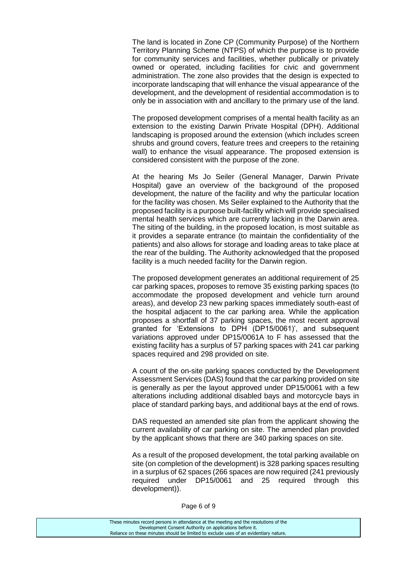The land is located in Zone CP (Community Purpose) of the Northern Territory Planning Scheme (NTPS) of which the purpose is to provide for community services and facilities, whether publically or privately owned or operated, including facilities for civic and government administration. The zone also provides that the design is expected to incorporate landscaping that will enhance the visual appearance of the development, and the development of residential accommodation is to only be in association with and ancillary to the primary use of the land.

The proposed development comprises of a mental health facility as an extension to the existing Darwin Private Hospital (DPH). Additional landscaping is proposed around the extension (which includes screen shrubs and ground covers, feature trees and creepers to the retaining wall) to enhance the visual appearance. The proposed extension is considered consistent with the purpose of the zone.

At the hearing Ms Jo Seiler (General Manager, Darwin Private Hospital) gave an overview of the background of the proposed development, the nature of the facility and why the particular location for the facility was chosen. Ms Seiler explained to the Authority that the proposed facility is a purpose built-facility which will provide specialised mental health services which are currently lacking in the Darwin area. The siting of the building, in the proposed location, is most suitable as it provides a separate entrance (to maintain the confidentiality of the patients) and also allows for storage and loading areas to take place at the rear of the building. The Authority acknowledged that the proposed facility is a much needed facility for the Darwin region.

The proposed development generates an additional requirement of 25 car parking spaces, proposes to remove 35 existing parking spaces (to accommodate the proposed development and vehicle turn around areas), and develop 23 new parking spaces immediately south-east of the hospital adjacent to the car parking area. While the application proposes a shortfall of 37 parking spaces, the most recent approval granted for 'Extensions to DPH (DP15/0061)', and subsequent variations approved under DP15/0061A to F has assessed that the existing facility has a surplus of 57 parking spaces with 241 car parking spaces required and 298 provided on site.

A count of the on-site parking spaces conducted by the Development Assessment Services (DAS) found that the car parking provided on site is generally as per the layout approved under DP15/0061 with a few alterations including additional disabled bays and motorcycle bays in place of standard parking bays, and additional bays at the end of rows.

DAS requested an amended site plan from the applicant showing the current availability of car parking on site. The amended plan provided by the applicant shows that there are 340 parking spaces on site.

As a result of the proposed development, the total parking available on site (on completion of the development) is 328 parking spaces resulting in a surplus of 62 spaces (266 spaces are now required (241 previously required under DP15/0061 and 25 required through this development)).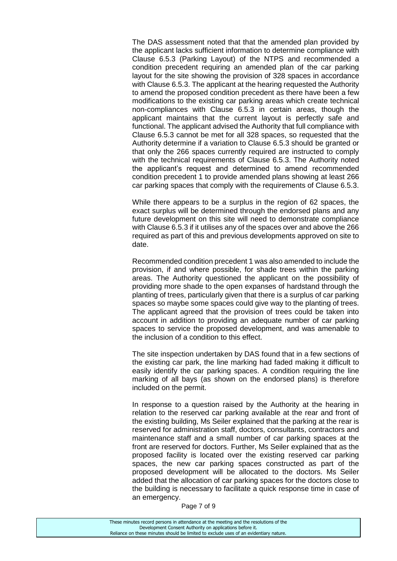The DAS assessment noted that that the amended plan provided by the applicant lacks sufficient information to determine compliance with Clause 6.5.3 (Parking Layout) of the NTPS and recommended a condition precedent requiring an amended plan of the car parking layout for the site showing the provision of 328 spaces in accordance with Clause 6.5.3. The applicant at the hearing requested the Authority to amend the proposed condition precedent as there have been a few modifications to the existing car parking areas which create technical non-compliances with Clause 6.5.3 in certain areas, though the applicant maintains that the current layout is perfectly safe and functional. The applicant advised the Authority that full compliance with Clause 6.5.3 cannot be met for all 328 spaces, so requested that the Authority determine if a variation to Clause 6.5.3 should be granted or that only the 266 spaces currently required are instructed to comply with the technical requirements of Clause 6.5.3. The Authority noted the applicant's request and determined to amend recommended condition precedent 1 to provide amended plans showing at least 266 car parking spaces that comply with the requirements of Clause 6.5.3.

While there appears to be a surplus in the region of 62 spaces, the exact surplus will be determined through the endorsed plans and any future development on this site will need to demonstrate compliance with Clause 6.5.3 if it utilises any of the spaces over and above the 266 required as part of this and previous developments approved on site to date.

Recommended condition precedent 1 was also amended to include the provision, if and where possible, for shade trees within the parking areas. The Authority questioned the applicant on the possibility of providing more shade to the open expanses of hardstand through the planting of trees, particularly given that there is a surplus of car parking spaces so maybe some spaces could give way to the planting of trees. The applicant agreed that the provision of trees could be taken into account in addition to providing an adequate number of car parking spaces to service the proposed development, and was amenable to the inclusion of a condition to this effect.

The site inspection undertaken by DAS found that in a few sections of the existing car park, the line marking had faded making it difficult to easily identify the car parking spaces. A condition requiring the line marking of all bays (as shown on the endorsed plans) is therefore included on the permit.

In response to a question raised by the Authority at the hearing in relation to the reserved car parking available at the rear and front of the existing building, Ms Seiler explained that the parking at the rear is reserved for administration staff, doctors, consultants, contractors and maintenance staff and a small number of car parking spaces at the front are reserved for doctors. Further, Ms Seiler explained that as the proposed facility is located over the existing reserved car parking spaces, the new car parking spaces constructed as part of the proposed development will be allocated to the doctors. Ms Seiler added that the allocation of car parking spaces for the doctors close to the building is necessary to facilitate a quick response time in case of an emergency.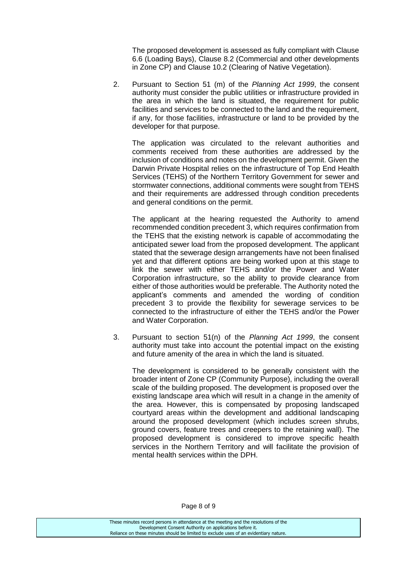The proposed development is assessed as fully compliant with Clause 6.6 (Loading Bays), Clause 8.2 (Commercial and other developments in Zone CP) and Clause 10.2 (Clearing of Native Vegetation).

2. Pursuant to Section 51 (m) of the *Planning Act 1999*, the consent authority must consider the public utilities or infrastructure provided in the area in which the land is situated, the requirement for public facilities and services to be connected to the land and the requirement, if any, for those facilities, infrastructure or land to be provided by the developer for that purpose.

The application was circulated to the relevant authorities and comments received from these authorities are addressed by the inclusion of conditions and notes on the development permit. Given the Darwin Private Hospital relies on the infrastructure of Top End Health Services (TEHS) of the Northern Territory Government for sewer and stormwater connections, additional comments were sought from TEHS and their requirements are addressed through condition precedents and general conditions on the permit.

The applicant at the hearing requested the Authority to amend recommended condition precedent 3, which requires confirmation from the TEHS that the existing network is capable of accommodating the anticipated sewer load from the proposed development. The applicant stated that the sewerage design arrangements have not been finalised yet and that different options are being worked upon at this stage to link the sewer with either TEHS and/or the Power and Water Corporation infrastructure, so the ability to provide clearance from either of those authorities would be preferable. The Authority noted the applicant's comments and amended the wording of condition precedent 3 to provide the flexibility for sewerage services to be connected to the infrastructure of either the TEHS and/or the Power and Water Corporation.

3. Pursuant to section 51(n) of the *Planning Act 1999*, the consent authority must take into account the potential impact on the existing and future amenity of the area in which the land is situated.

The development is considered to be generally consistent with the broader intent of Zone CP (Community Purpose), including the overall scale of the building proposed. The development is proposed over the existing landscape area which will result in a change in the amenity of the area. However, this is compensated by proposing landscaped courtyard areas within the development and additional landscaping around the proposed development (which includes screen shrubs, ground covers, feature trees and creepers to the retaining wall). The proposed development is considered to improve specific health services in the Northern Territory and will facilitate the provision of mental health services within the DPH.